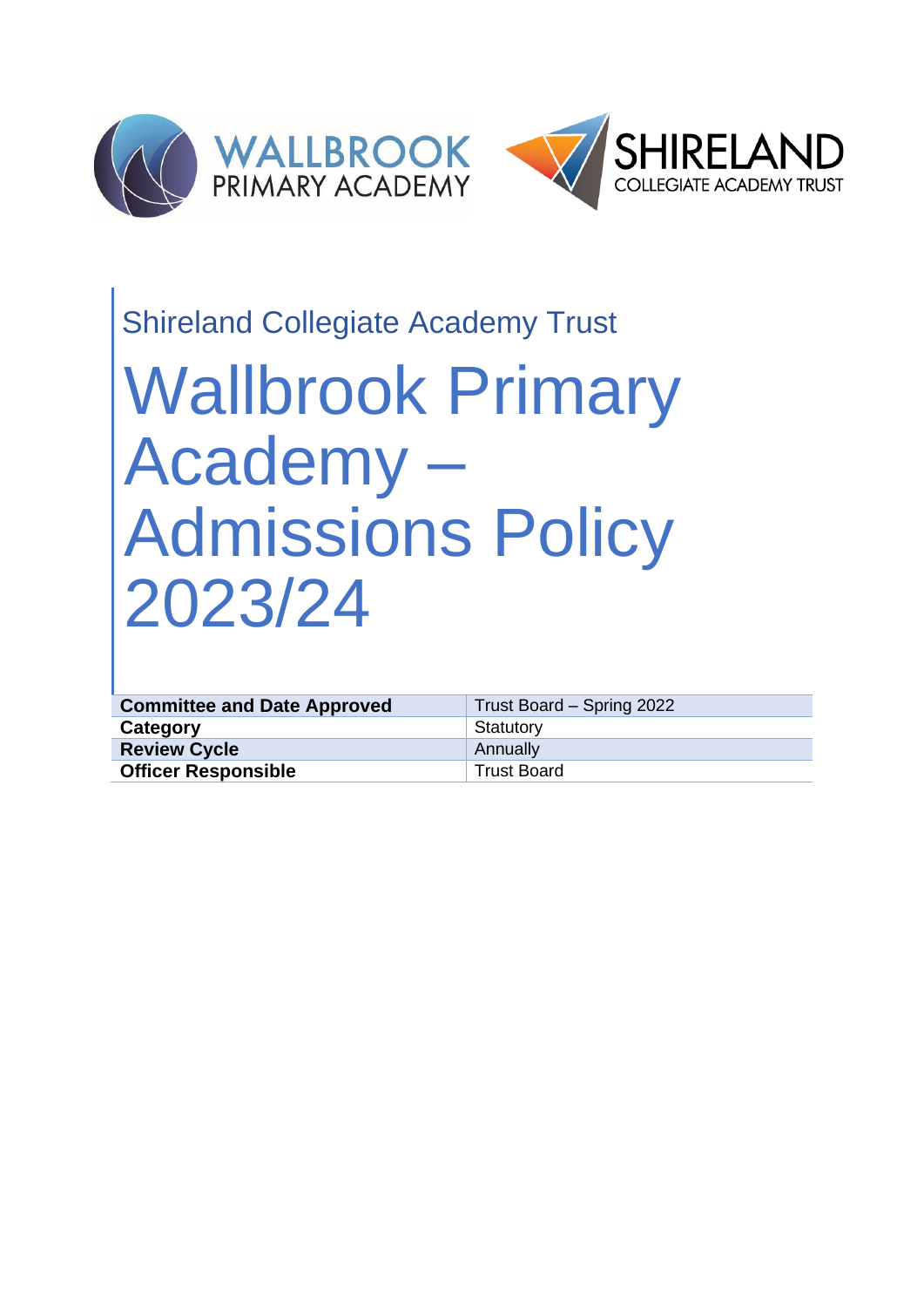

## Shireland Collegiate Academy Trust

# Wallbrook Primary Academy – Admissions Policy 2023/24

| <b>Committee and Date Approved</b> | Trust Board - Spring 2022 |
|------------------------------------|---------------------------|
| Category                           | Statutory                 |
| <b>Review Cycle</b>                | Annually                  |
| <b>Officer Responsible</b>         | <b>Trust Board</b>        |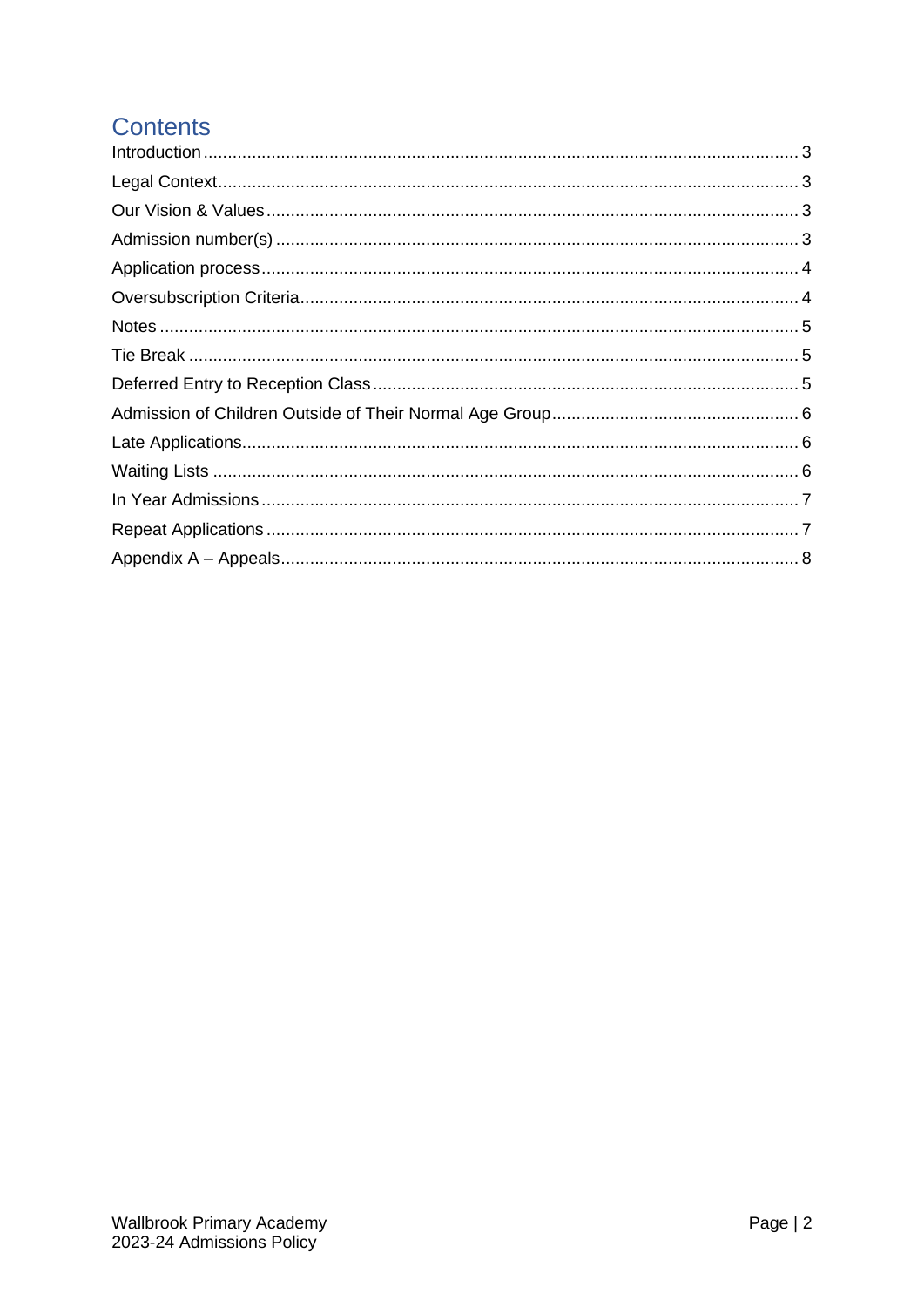### **Contents**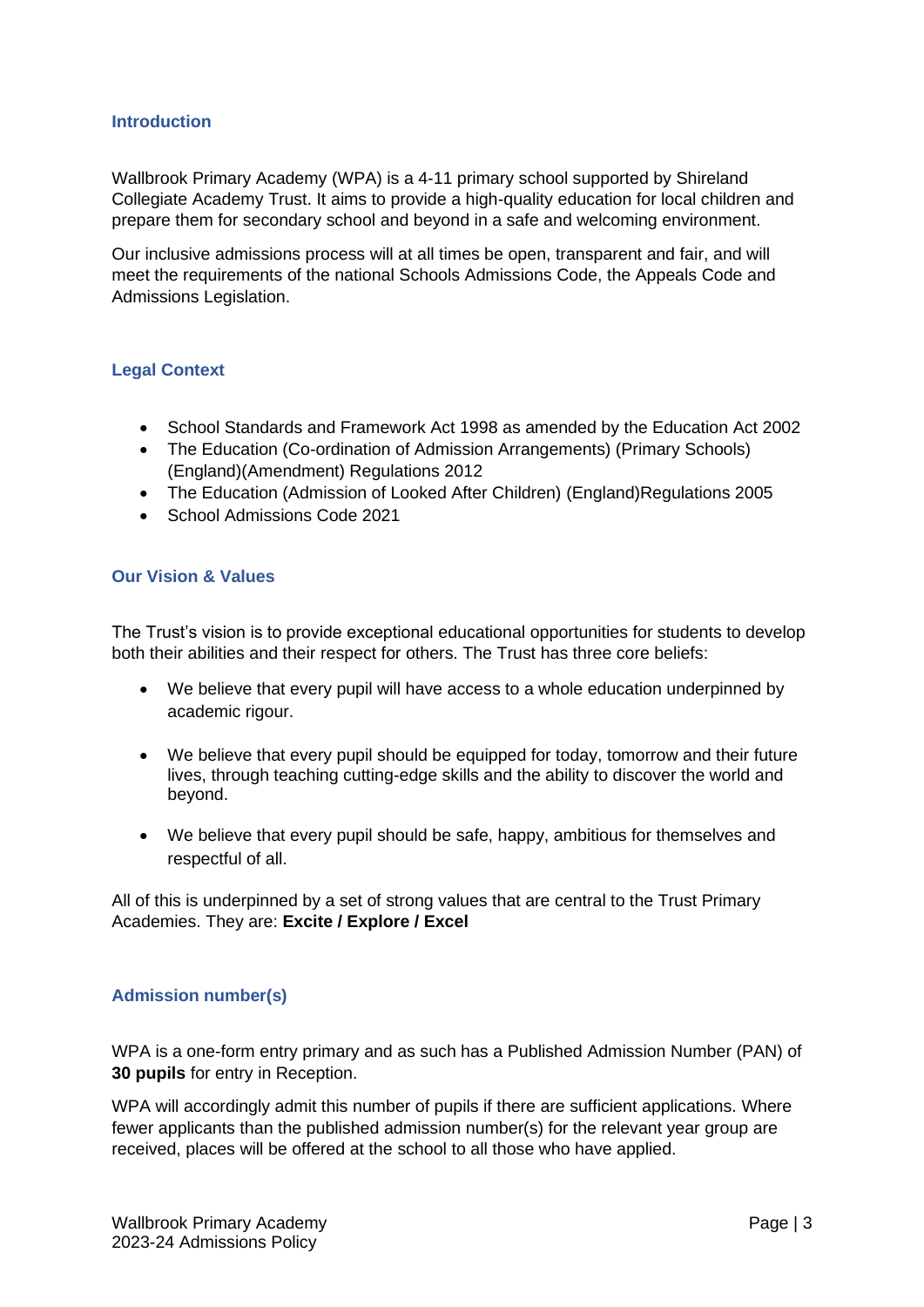#### <span id="page-2-0"></span>**Introduction**

Wallbrook Primary Academy (WPA) is a 4-11 primary school supported by Shireland Collegiate Academy Trust. It aims to provide a high-quality education for local children and prepare them for secondary school and beyond in a safe and welcoming environment.

Our inclusive admissions process will at all times be open, transparent and fair, and will meet the requirements of the national Schools Admissions Code, the Appeals Code and Admissions Legislation.

#### <span id="page-2-1"></span>**Legal Context**

- School Standards and Framework Act 1998 as amended by the Education Act 2002
- The Education (Co-ordination of Admission Arrangements) (Primary Schools) (England)(Amendment) Regulations 2012
- The Education (Admission of Looked After Children) (England)Regulations 2005
- School Admissions Code 2021

#### <span id="page-2-2"></span>**Our Vision & Values**

The Trust's vision is to provide exceptional educational opportunities for students to develop both their abilities and their respect for others. The Trust has three core beliefs:

- We believe that every pupil will have access to a whole education underpinned by academic rigour.
- We believe that every pupil should be equipped for today, tomorrow and their future lives, through teaching cutting-edge skills and the ability to discover the world and beyond.
- We believe that every pupil should be safe, happy, ambitious for themselves and respectful of all.

All of this is underpinned by a set of strong values that are central to the Trust Primary Academies. They are: **Excite / Explore / Excel**

#### <span id="page-2-3"></span>**Admission number(s)**

WPA is a one-form entry primary and as such has a Published Admission Number (PAN) of **30 pupils** for entry in Reception.

WPA will accordingly admit this number of pupils if there are sufficient applications. Where fewer applicants than the published admission number(s) for the relevant year group are received, places will be offered at the school to all those who have applied.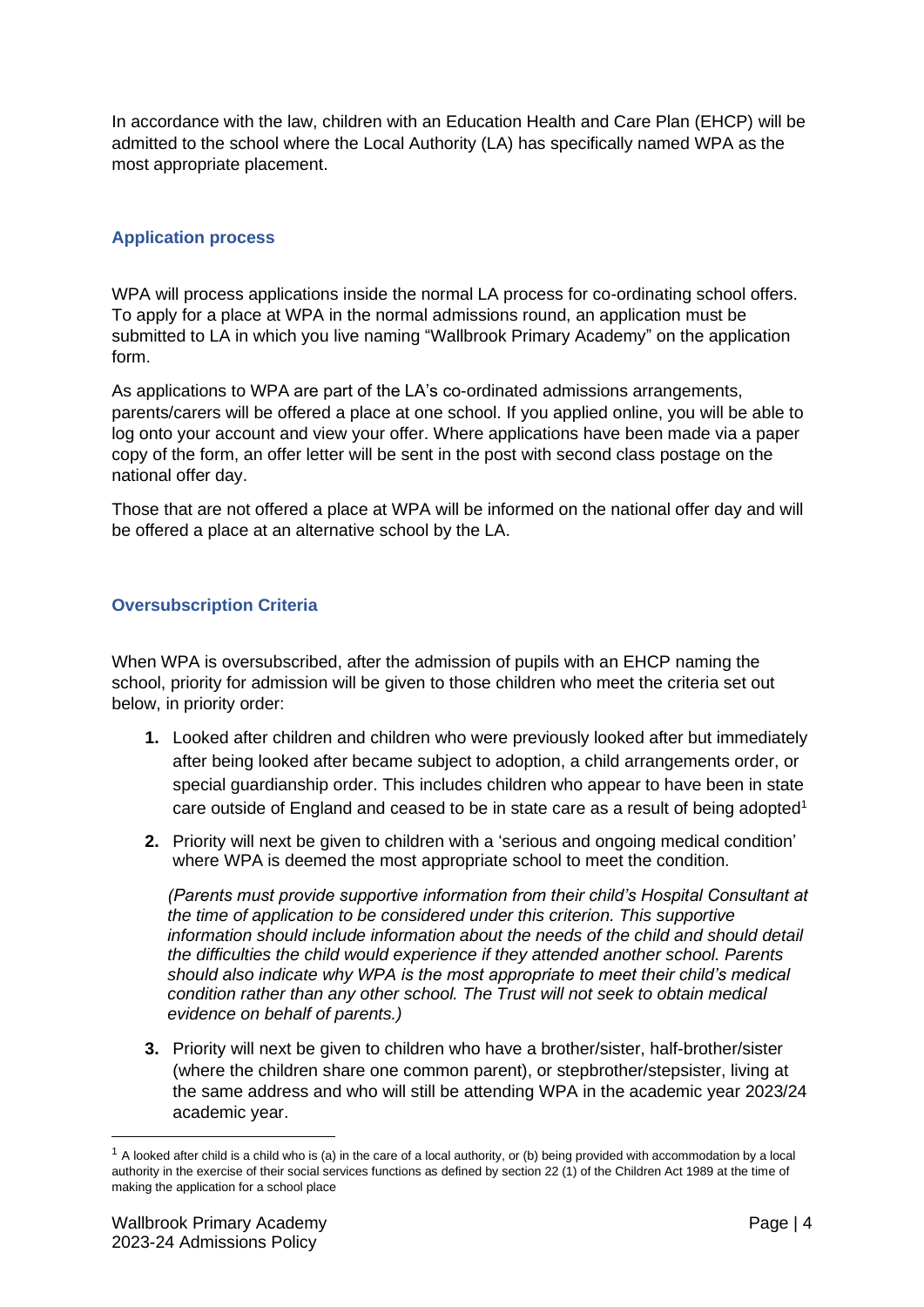In accordance with the law, children with an Education Health and Care Plan (EHCP) will be admitted to the school where the Local Authority (LA) has specifically named WPA as the most appropriate placement.

#### <span id="page-3-0"></span>**Application process**

WPA will process applications inside the normal LA process for co-ordinating school offers. To apply for a place at WPA in the normal admissions round, an application must be submitted to LA in which you live naming "Wallbrook Primary Academy" on the application form.

As applications to WPA are part of the LA's co-ordinated admissions arrangements, parents/carers will be offered a place at one school. If you applied online, you will be able to log onto your account and view your offer. Where applications have been made via a paper copy of the form, an offer letter will be sent in the post with second class postage on the national offer day.

Those that are not offered a place at WPA will be informed on the national offer day and will be offered a place at an alternative school by the LA.

#### <span id="page-3-1"></span>**Oversubscription Criteria**

When WPA is oversubscribed, after the admission of pupils with an EHCP naming the school, priority for admission will be given to those children who meet the criteria set out below, in priority order:

- **1.** Looked after children and children who were previously looked after but immediately after being looked after became subject to adoption, a child arrangements order, or special guardianship order. This includes children who appear to have been in state care outside of England and ceased to be in state care as a result of being adopted<sup>1</sup>
- **2.** Priority will next be given to children with a 'serious and ongoing medical condition' where WPA is deemed the most appropriate school to meet the condition.

*(Parents must provide supportive information from their child's Hospital Consultant at the time of application to be considered under this criterion. This supportive information should include information about the needs of the child and should detail the difficulties the child would experience if they attended another school. Parents should also indicate why WPA is the most appropriate to meet their child's medical condition rather than any other school. The Trust will not seek to obtain medical evidence on behalf of parents.)* 

**3.** Priority will next be given to children who have a brother/sister, half-brother/sister (where the children share one common parent), or stepbrother/stepsister, living at the same address and who will still be attending WPA in the academic year 2023/24 academic year.

 $1$  A looked after child is a child who is (a) in the care of a local authority, or (b) being provided with accommodation by a local authority in the exercise of their social services functions as defined by section 22 (1) of the Children Act 1989 at the time of making the application for a school place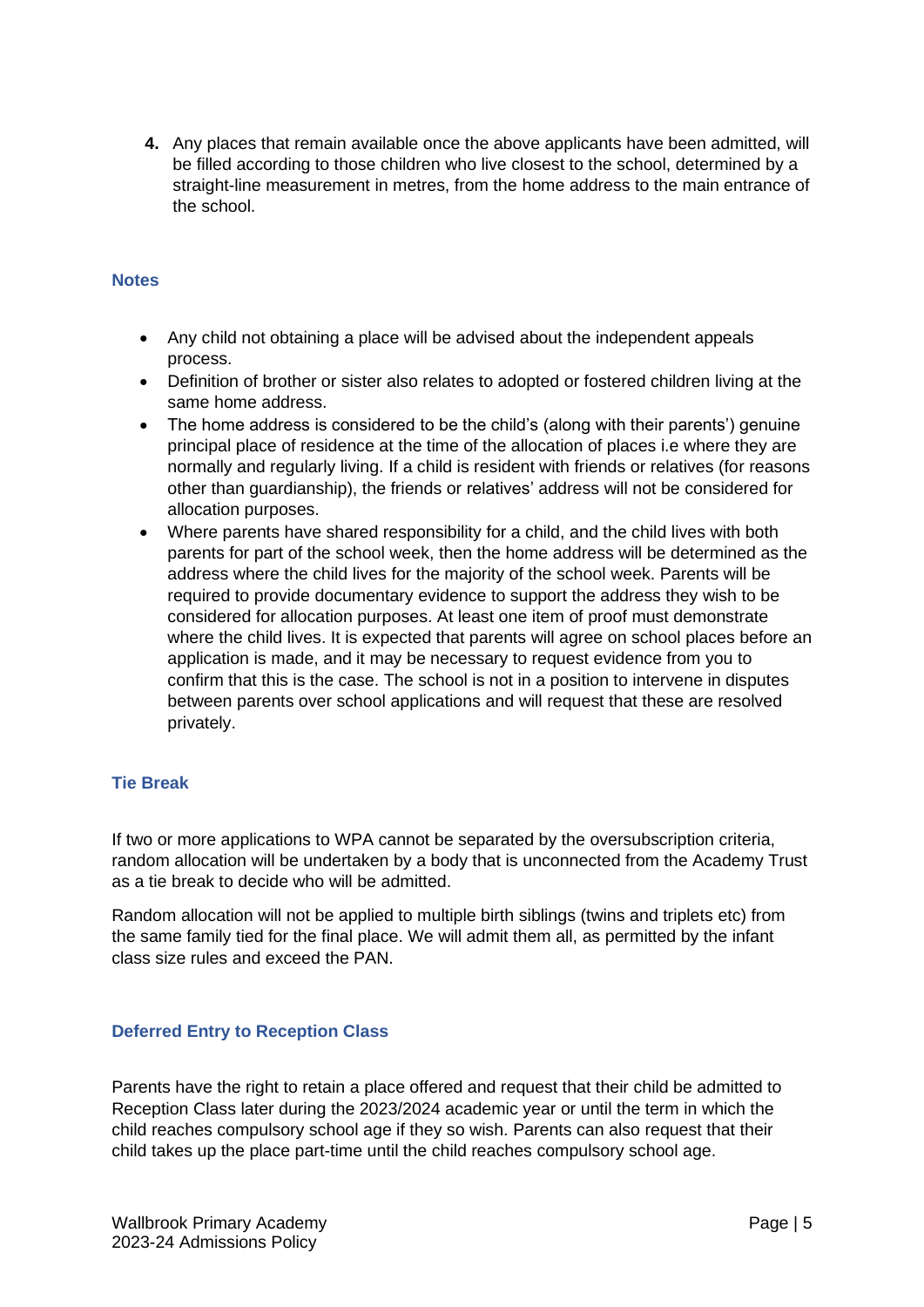**4.** Any places that remain available once the above applicants have been admitted, will be filled according to those children who live closest to the school, determined by a straight-line measurement in metres, from the home address to the main entrance of the school.

#### <span id="page-4-0"></span>**Notes**

- Any child not obtaining a place will be advised about the independent appeals process.
- Definition of brother or sister also relates to adopted or fostered children living at the same home address.
- The home address is considered to be the child's (along with their parents') genuine principal place of residence at the time of the allocation of places i.e where they are normally and regularly living. If a child is resident with friends or relatives (for reasons other than guardianship), the friends or relatives' address will not be considered for allocation purposes.
- Where parents have shared responsibility for a child, and the child lives with both parents for part of the school week, then the home address will be determined as the address where the child lives for the majority of the school week. Parents will be required to provide documentary evidence to support the address they wish to be considered for allocation purposes. At least one item of proof must demonstrate where the child lives. It is expected that parents will agree on school places before an application is made, and it may be necessary to request evidence from you to confirm that this is the case. The school is not in a position to intervene in disputes between parents over school applications and will request that these are resolved privately.

#### <span id="page-4-1"></span>**Tie Break**

If two or more applications to WPA cannot be separated by the oversubscription criteria, random allocation will be undertaken by a body that is unconnected from the Academy Trust as a tie break to decide who will be admitted.

Random allocation will not be applied to multiple birth siblings (twins and triplets etc) from the same family tied for the final place. We will admit them all, as permitted by the infant class size rules and exceed the PAN.

#### <span id="page-4-2"></span>**Deferred Entry to Reception Class**

Parents have the right to retain a place offered and request that their child be admitted to Reception Class later during the 2023/2024 academic year or until the term in which the child reaches compulsory school age if they so wish. Parents can also request that their child takes up the place part-time until the child reaches compulsory school age.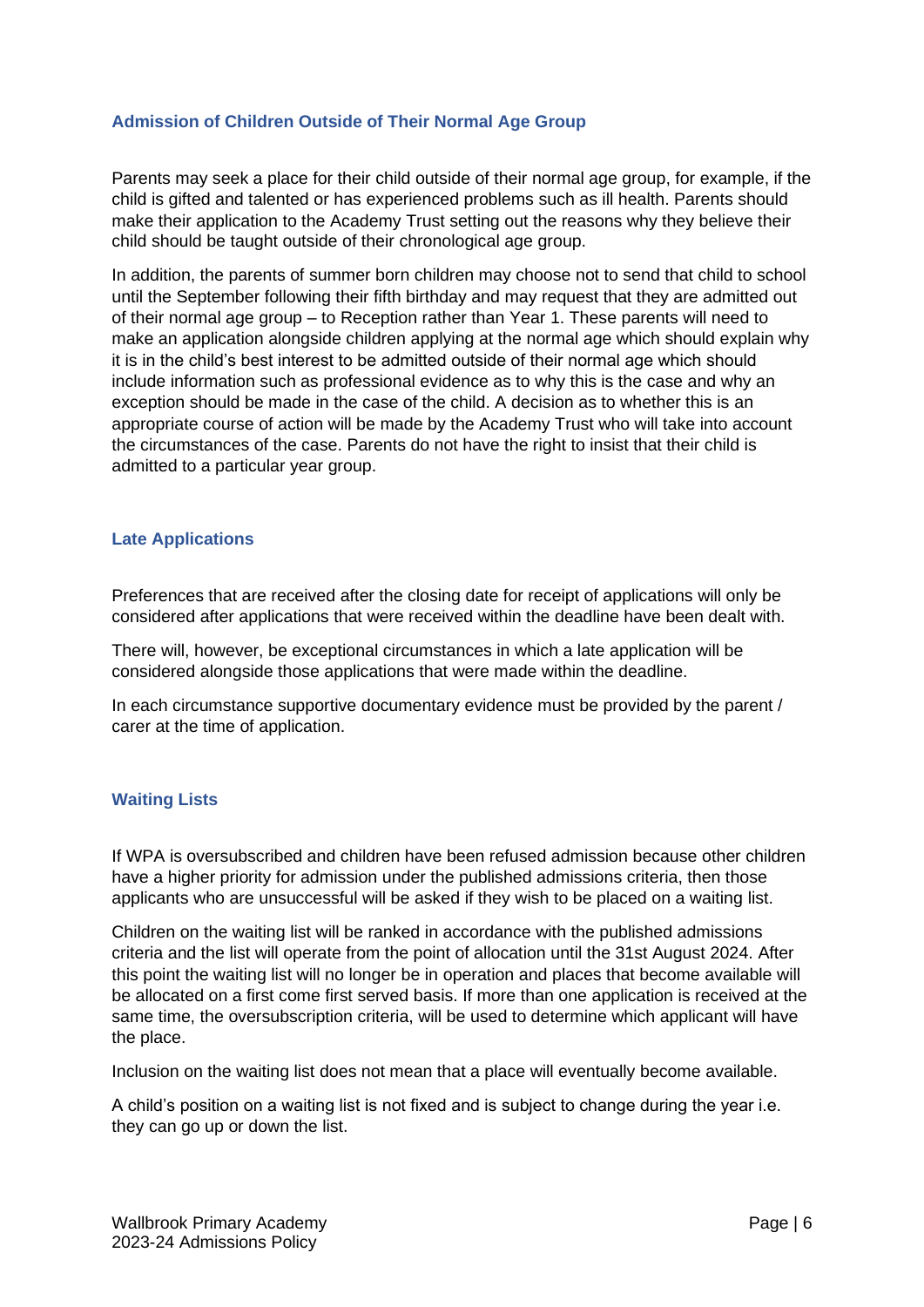#### <span id="page-5-0"></span>**Admission of Children Outside of Their Normal Age Group**

Parents may seek a place for their child outside of their normal age group, for example, if the child is gifted and talented or has experienced problems such as ill health. Parents should make their application to the Academy Trust setting out the reasons why they believe their child should be taught outside of their chronological age group.

In addition, the parents of summer born children may choose not to send that child to school until the September following their fifth birthday and may request that they are admitted out of their normal age group – to Reception rather than Year 1. These parents will need to make an application alongside children applying at the normal age which should explain why it is in the child's best interest to be admitted outside of their normal age which should include information such as professional evidence as to why this is the case and why an exception should be made in the case of the child. A decision as to whether this is an appropriate course of action will be made by the Academy Trust who will take into account the circumstances of the case. Parents do not have the right to insist that their child is admitted to a particular year group.

#### <span id="page-5-1"></span>**Late Applications**

Preferences that are received after the closing date for receipt of applications will only be considered after applications that were received within the deadline have been dealt with.

There will, however, be exceptional circumstances in which a late application will be considered alongside those applications that were made within the deadline.

In each circumstance supportive documentary evidence must be provided by the parent / carer at the time of application.

#### <span id="page-5-2"></span>**Waiting Lists**

If WPA is oversubscribed and children have been refused admission because other children have a higher priority for admission under the published admissions criteria, then those applicants who are unsuccessful will be asked if they wish to be placed on a waiting list.

Children on the waiting list will be ranked in accordance with the published admissions criteria and the list will operate from the point of allocation until the 31st August 2024. After this point the waiting list will no longer be in operation and places that become available will be allocated on a first come first served basis. If more than one application is received at the same time, the oversubscription criteria, will be used to determine which applicant will have the place.

Inclusion on the waiting list does not mean that a place will eventually become available.

A child's position on a waiting list is not fixed and is subject to change during the year i.e. they can go up or down the list.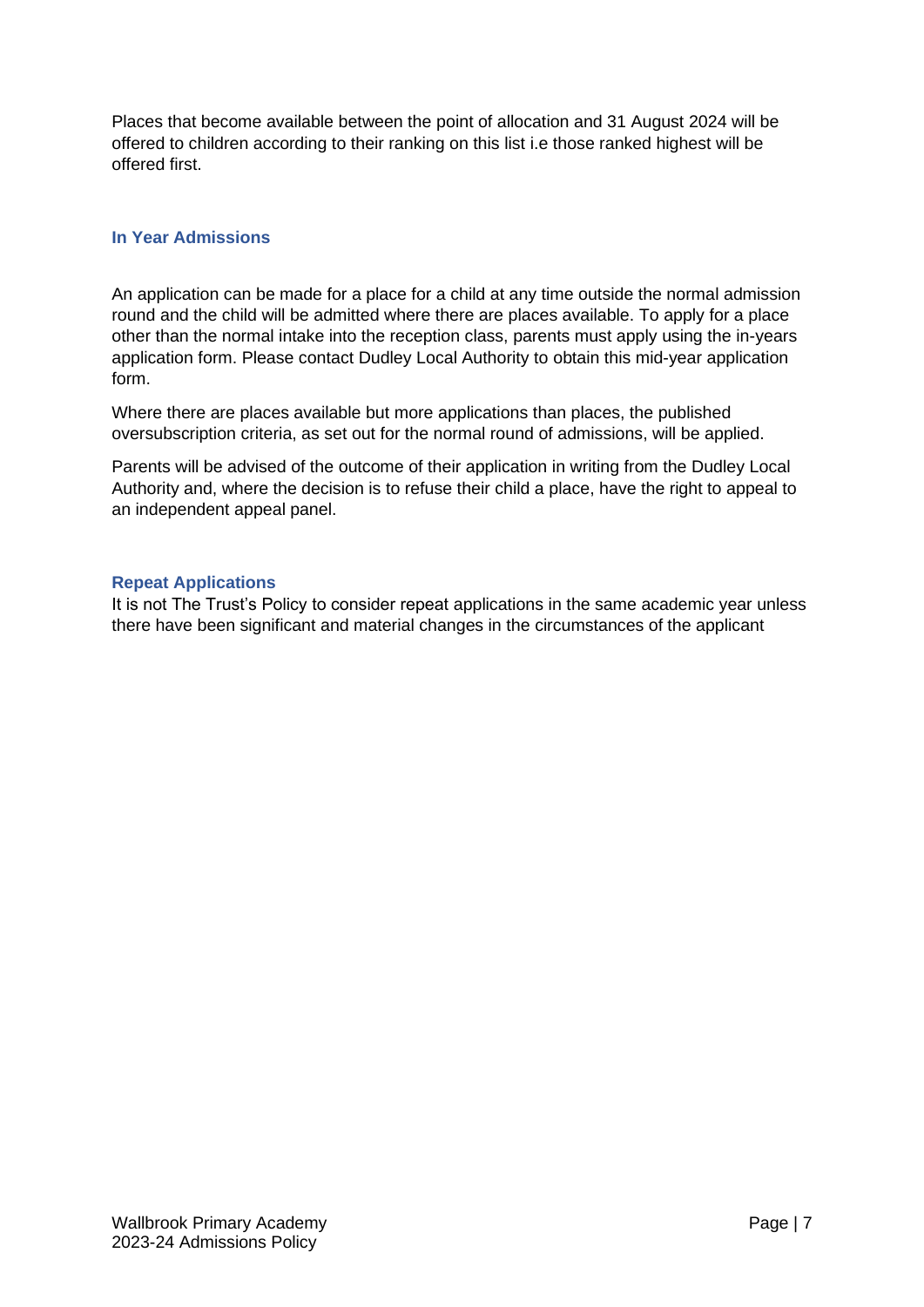Places that become available between the point of allocation and 31 August 2024 will be offered to children according to their ranking on this list i.e those ranked highest will be offered first.

#### <span id="page-6-0"></span>**In Year Admissions**

An application can be made for a place for a child at any time outside the normal admission round and the child will be admitted where there are places available. To apply for a place other than the normal intake into the reception class, parents must apply using the in-years application form. Please contact Dudley Local Authority to obtain this mid-year application form.

Where there are places available but more applications than places, the published oversubscription criteria, as set out for the normal round of admissions, will be applied.

Parents will be advised of the outcome of their application in writing from the Dudley Local Authority and, where the decision is to refuse their child a place, have the right to appeal to an independent appeal panel.

#### <span id="page-6-1"></span>**Repeat Applications**

It is not The Trust's Policy to consider repeat applications in the same academic year unless there have been significant and material changes in the circumstances of the applicant